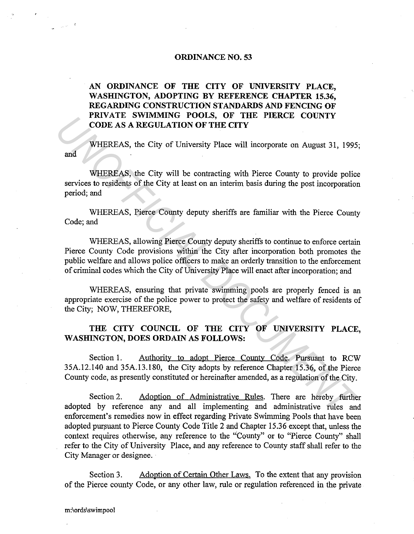## **ORDINANCE NO. 53**

## **AN ORDINANCE OF THE CITY OF UNIVERSITY PLACE, WASHINGTON, ADOPTING BY REFERENCE CHAPTER 15.36, REGARDING CONSTRUCTION STANDARDS AND FENCING OF PRIVATE SWIMMING POOLS, OF THE PIERCE COUNTY CODE** AS A **REGULATION OF THE CITY**

and WHEREAS, the City of University Place will incorporate on August 31, 1995;

WHEREAS, the City will be contracting with Pierce County to provide police services to residents of the City at least on an interim basis during the post incorporation period; and

WHEREAS, Pierce County deputy sheriffs are familiar with the Pierce County Code; and

WHEREAS, allowing Pierce County deputy sheriffs to continue to enforce certain Pierce County Code provisions within the City after incorporation both promotes the public welfare and allows police officers to make an orderly transition to the enforcement of criminal codes which the City of University Place will enact after incorporation; and **EXAMPLE ASS, the City of University Place will incorporate on August 31, 1995**<br> **CODE AS A REGULATION OF THE CITY**<br> **WHEREAS**, the City of University Place will incorporate on August 31, 1995<br> **WHEREAS**, the City will be

WHEREAS, ensuring that private swimming pools are properly fenced is an appropriate exercise of the police power to protect the safety and welfare of residents of the City; NOW, THEREFORE,

## **THE CITY COUNCIL OF THE CITY OF UNIVERSITY PLACE, WASHINGTON, DOES ORDAIN AS FOLLOWS:**

Section 1. Authority to adopt Pierce County Code. Pursuant to RCW 35A.12.140 and 35A.13.180, the City adopts by reference Chapter 15.36, of the Pierce County code, as presently constituted or hereinafter amended, as a regulation of the City.

Section 2. Adoption of Administrative Rules. There are hereby further adopted by reference any and all implementing and administrative rules and enforcement's remedies now in effect regarding Private Swimming Pools that have been adopted pursuant to Pierce County Code Title 2 and Chapter 15.36 except that, unless the context requires otherwise, any reference to the "County" or to "Pierce County" shall refer to the City of University Place, and any reference to County staff shall refer to the City Manager or designee.

Section 3. Adoption of Certain Other Laws. To the extent that any provision of the Pierce county Code, or any other law, rule or regulation referenced in the private